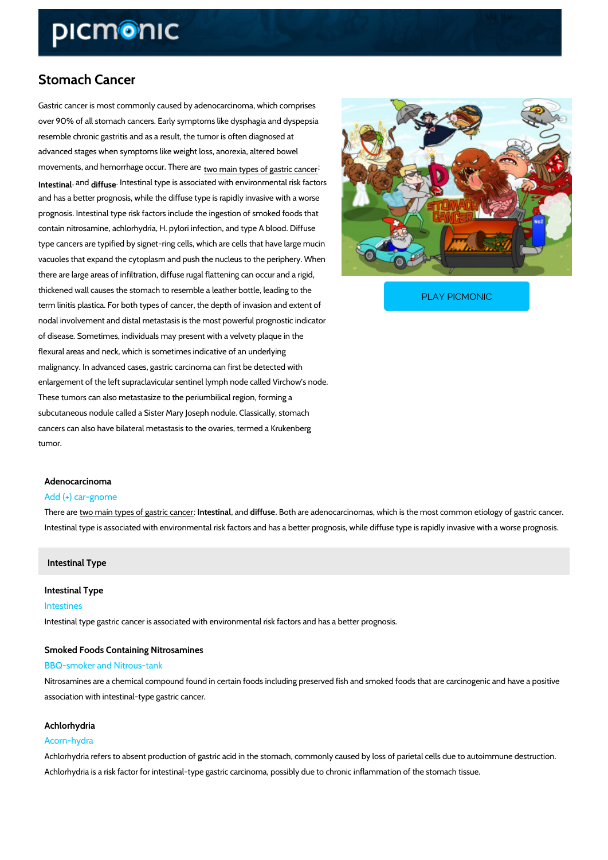# Stomach Cancer

Gastric cancer is most commonly caused by adenocarcinoma, which comprises over 90% of all stomach cancers. Early symptoms like dysphagia and dyspepsia resemble chronic gastritis and as a result, the tumor is often diagnosed at advanced stages when symptoms like weight loss, anorexia, altered bowel  $m$ ovements, and hemorrhage  $q_{\theta}$   $q$   $\epsilon$   $r$   $\theta$   $\theta$   $\theta$   $\frac{1}{2}$   $\theta$   $\frac{1}{2}$   $\theta$   $\frac{1}{2}$   $\epsilon$   $\epsilon$   $\epsilon$   $\epsilon$  and the more response to  $r$ 

Intestin<sup>a</sup>ld ffusentestinal type is associated with environmental risk factors and has a better prognosis, while the diffuse type is rapidly invasive with a worse prognosis. Intestinal type risk factors include the ingestion of smoked foods that contain nitrosamine, achlorhydria, H. pylori infection, and type A blood. Diffuse type cancers are typified by signet-ring cells, which are cells that have large mucin vacuoles that expand the cytoplasm and push the nucleus to the periphery. When there are large areas of infiltration, diffuse rugal flattening can occur and a rigid,

thickened wall causes the stomach to resemble a leather term linitis plastica. For both types of cancer, the depth  $\sqrt{ }$ 

PLAY PICMONIC

nodal involvement and distal metastasis is the most powerful prognostic indicator of disease. Sometimes, individuals may present with a velvety plaque in the flexural areas and neck, which is sometimes indicative of an underlying malignancy. In advanced cases, gastric carcinoma can first be detected with enlargement of the left supraclavicular sentinel lymph node called Virchow s node. These tumors can also metastasize to the periumbilical region, forming a subcutaneous nodule called a Sister Mary Joseph nodule. Classically, stomach cancers can also have bilateral metastasis to the ovaries, termed a Krukenberg tumor.

#### Adenocarcinoma

#### Add (+) car-gnome

There taw oe main types of galsteisction and defrus Both are adenocarcinomas, which is the most common Intestinal type is associated with environmental risk factors and has a better prognosis, while

# Intestinal Type

# Intestinal Type Intestines

Intestinal type gastric cancer is associated with environmental risk factors and has a better p

# Smoked Foods Containing Nitrosamines BBQ-smoker and Nitrous-tank

Nitrosamines are a chemical compound found in certain foods including preserved fish and sm association with intestinal-type gastric cancer.

## Achlorhydria

## Acorn-hydra

Achlorhydria refers to absent production of gastric acid in the stomach, commonly caused by l Achlorhydria is a risk factor for intestinal-type gastric carcinoma, possibly due to chronic infl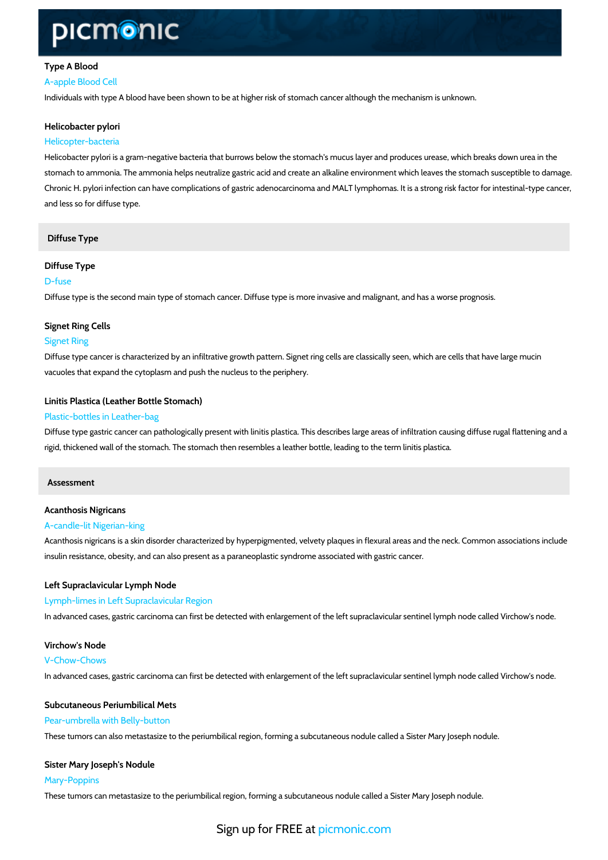# Type A Blood A-apple Blood Cell

Individuals with type A blood have been shown to be at higher risk of stomach cancer although

Helicobacter pylori Helicopter-bacteria

Helicobacter pylori is a gram-negative bacteria that burrows below the stomach's mucus layer stomach to ammonia. The ammonia helps neutralize gastric acid and create an alkaline enviro Chronic H. pylori infection can have complications of gastric adenocarcinoma and MALT lymph and less so for diffuse type.

## Diffuse Type

# Diffuse Type D-fuse

Diffuse type is the second main type of stomach cancer. Diffuse type is more invasive and ma

## Signet Ring Cells

#### Signet Ring

Diffuse type cancer is characterized by an infiltrative growth pattern. Signet ring cells are cla vacuoles that expand the cytoplasm and push the nucleus to the periphery.

#### Linitis Plastica (Leather Bottle Stomach)

#### Plastic-bottles in Leather-bag

Diffuse type gastric cancer can pathologically present with linitis plastica. This describes lar rigid, thickened wall of the stomach. The stomach then resembles a leather bottle, leading to

Assessment

# Acanthosis Nigricans

# A-candle-lit Nigerian-king

Acanthosis nigricans is a skin disorder characterized by hyperpigmented, velvety plaques in f insulin resistance, obesity, and can also present as a paraneoplastic syndrome associated wit

## Left Supraclavicular Lymph Node

Lymph-limes in Left Supraclavicular Region In advanced cases, gastric carcinoma can first be detected with enlargement of the left supra

Virchow's Node V-Chow-Chows In advanced cases, gastric carcinoma can first be detected with enlargement of the left supra

# Subcutaneous Periumbilical Mets Pear-umbrella with Belly-button These tumors can also metastasize to the periumbilical region, forming a subcutaneous nodule

Sister Mary Joseph's Nodule Mary-Poppins These tumors can metastasize to the periumbilical region, forming a subcutaneous nodule call

# Sign up for **FREE** at com